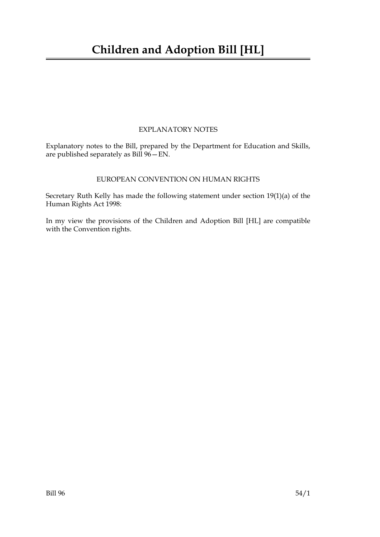## EXPLANATORY NOTES

Explanatory notes to the Bill, prepared by the Department for Education and Skills, are published separately as Bill 96—EN.

## EUROPEAN CONVENTION ON HUMAN RIGHTS

Secretary Ruth Kelly has made the following statement under section 19(1)(a) of the Human Rights Act 1998:

In my view the provisions of the Children and Adoption Bill [HL] are compatible with the Convention rights.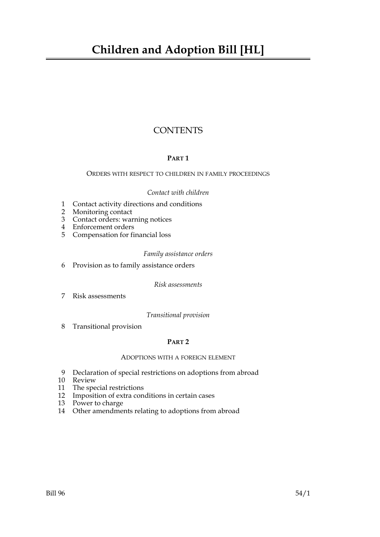# **Children and Adoption Bill [HL]**

# **CONTENTS**

## **PART 1**

## ORDERS WITH RESPECT TO CHILDREN IN FAMILY PROCEEDINGS

## *Contact with children*

- 1 Contact activity directions and conditions
- 2 Monitoring contact
- 3 Contact orders: warning notices
- 4 Enforcement orders
- 5 Compensation for financial loss

## *Family assistance orders*

6 Provision as to family assistance orders

*Risk assessments*

7 Risk assessments

*Transitional provision*

8 Transitional provision

## **PART 2**

#### ADOPTIONS WITH A FOREIGN ELEMENT

- 9 Declaration of special restrictions on adoptions from abroad
- 10 Review
- 11 The special restrictions
- 12 Imposition of extra conditions in certain cases
- 13 Power to charge
- 14 Other amendments relating to adoptions from abroad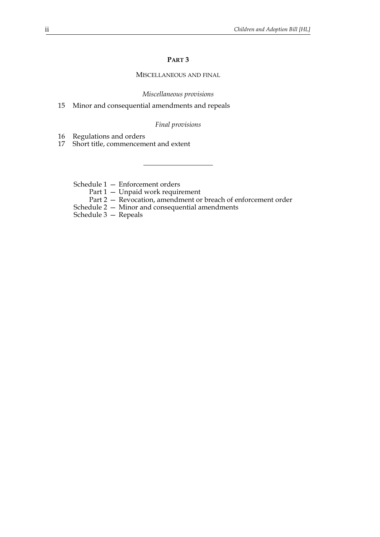## **PART 3**

## MISCELLANEOUS AND FINAL

*Miscellaneous provisions*

15 Minor and consequential amendments and repeals

## *Final provisions*

16 Regulations and orders

17 Short title, commencement and extent

Schedule 1 — Enforcement orders

Part 1 – Unpaid work requirement

Part 2 — Revocation, amendment or breach of enforcement order

Schedule 2 — Minor and consequential amendments

Schedule 3 — Repeals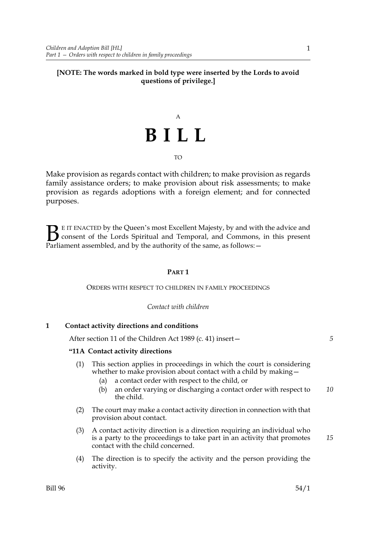## **[NOTE: The words marked in bold type were inserted by the Lords to avoid questions of privilege.]**

# A **BILL** TO

Make provision as regards contact with children; to make provision as regards family assistance orders; to make provision about risk assessments; to make provision as regards adoptions with a foreign element; and for connected purposes.

E IT ENACTED by the Queen's most Excellent Majesty, by and with the advice and consent of the Lords Spiritual and Temporal, and Commons, in this present **B** E IT ENACTED by the Queen's most Excellent Majesty, by and with consent of the Lords Spiritual and Temporal, and Commons, Parliament assembled, and by the authority of the same, as follows:  $-$ 

## **PART 1**

## ORDERS WITH RESPECT TO CHILDREN IN FAMILY PROCEEDINGS

## *Contact with children*

## **1 Contact activity directions and conditions**

After section 11 of the Children Act 1989 (c. 41) insert—

## **"11A Contact activity directions**

- (1) This section applies in proceedings in which the court is considering whether to make provision about contact with a child by making —
	- (a) a contact order with respect to the child, or
	- (b) an order varying or discharging a contact order with respect to the child. *10*
- (2) The court may make a contact activity direction in connection with that provision about contact.
- (3) A contact activity direction is a direction requiring an individual who is a party to the proceedings to take part in an activity that promotes contact with the child concerned.
- (4) The direction is to specify the activity and the person providing the activity.

*5*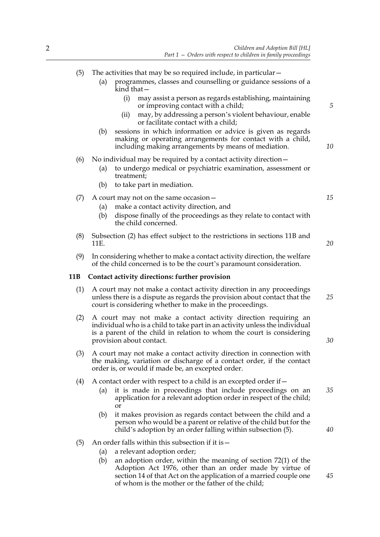- (a) programmes, classes and counselling or guidance sessions of a kind that—
	- (i) may assist a person as regards establishing, maintaining or improving contact with a child;
	- (ii) may, by addressing a person's violent behaviour, enable or facilitate contact with a child;
- (b) sessions in which information or advice is given as regards making or operating arrangements for contact with a child, including making arrangements by means of mediation.

## (6) No individual may be required by a contact activity direction—

- (a) to undergo medical or psychiatric examination, assessment or treatment;
- (b) to take part in mediation.

## (7) A court may not on the same occasion—

- (a) make a contact activity direction, and
- (b) dispose finally of the proceedings as they relate to contact with the child concerned.
- (8) Subsection (2) has effect subject to the restrictions in sections 11B and 11E.
- (9) In considering whether to make a contact activity direction, the welfare of the child concerned is to be the court's paramount consideration.

## **11B Contact activity directions: further provision**

- (1) A court may not make a contact activity direction in any proceedings unless there is a dispute as regards the provision about contact that the court is considering whether to make in the proceedings. *25*
- (2) A court may not make a contact activity direction requiring an individual who is a child to take part in an activity unless the individual is a parent of the child in relation to whom the court is considering provision about contact.
- (3) A court may not make a contact activity direction in connection with the making, variation or discharge of a contact order, if the contact order is, or would if made be, an excepted order.
- (4) A contact order with respect to a child is an excepted order if—
	- (a) it is made in proceedings that include proceedings on an application for a relevant adoption order in respect of the child; or *35*
	- (b) it makes provision as regards contact between the child and a person who would be a parent or relative of the child but for the child's adoption by an order falling within subsection (5).

## (5) An order falls within this subsection if it is  $-$

- (a) a relevant adoption order;
- (b) an adoption order, within the meaning of section 72(1) of the Adoption Act 1976, other than an order made by virtue of section 14 of that Act on the application of a married couple one of whom is the mother or the father of the child;

*20*

*5*

*10*

*15*

*30*

*40*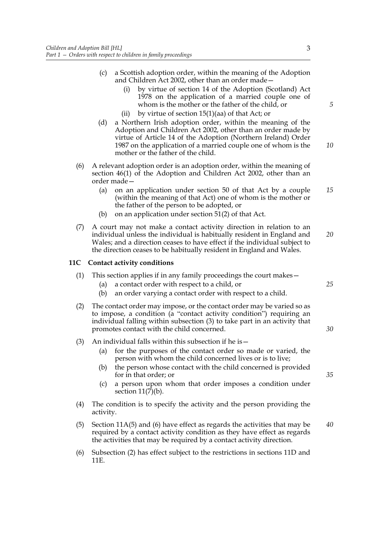- (c) a Scottish adoption order, within the meaning of the Adoption and Children Act 2002, other than an order made
	- by virtue of section 14 of the Adoption (Scotland) Act 1978 on the application of a married couple one of whom is the mother or the father of the child, or
	- (ii) by virtue of section 15(1)(aa) of that Act; or
- (d) a Northern Irish adoption order, within the meaning of the Adoption and Children Act 2002, other than an order made by virtue of Article 14 of the Adoption (Northern Ireland) Order 1987 on the application of a married couple one of whom is the mother or the father of the child.
- (6) A relevant adoption order is an adoption order, within the meaning of section 46(1) of the Adoption and Children Act 2002, other than an order made—
	- (a) on an application under section 50 of that Act by a couple (within the meaning of that Act) one of whom is the mother or the father of the person to be adopted, or
	- (b) on an application under section 51(2) of that Act.
- (7) A court may not make a contact activity direction in relation to an individual unless the individual is habitually resident in England and Wales; and a direction ceases to have effect if the individual subject to the direction ceases to be habitually resident in England and Wales. *20*

## **11C Contact activity conditions**

- (1) This section applies if in any family proceedings the court makes—
	- (a) a contact order with respect to a child, or
	- (b) an order varying a contact order with respect to a child.
- (2) The contact order may impose, or the contact order may be varied so as to impose, a condition (a "contact activity condition") requiring an individual falling within subsection (3) to take part in an activity that promotes contact with the child concerned.
- (3) An individual falls within this subsection if he is—
	- (a) for the purposes of the contact order so made or varied, the person with whom the child concerned lives or is to live;
	- (b) the person whose contact with the child concerned is provided for in that order; or
	- (c) a person upon whom that order imposes a condition under section  $11(7)(b)$ .
- (4) The condition is to specify the activity and the person providing the activity.
- (5) Section 11A(5) and (6) have effect as regards the activities that may be required by a contact activity condition as they have effect as regards the activities that may be required by a contact activity direction. *40*
- (6) Subsection (2) has effect subject to the restrictions in sections 11D and 11E.

*5*

*10*

*15*

*25*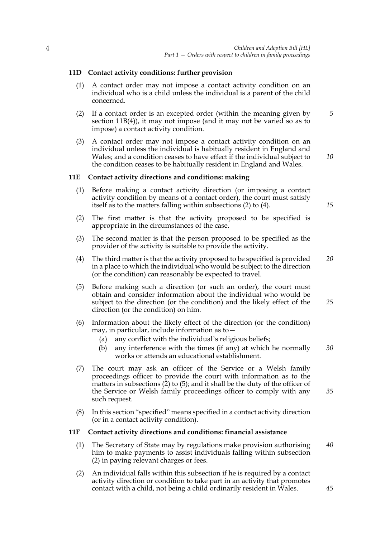## **11D Contact activity conditions: further provision**

- (1) A contact order may not impose a contact activity condition on an individual who is a child unless the individual is a parent of the child concerned.
- (2) If a contact order is an excepted order (within the meaning given by section 11B(4)), it may not impose (and it may not be varied so as to impose) a contact activity condition.
- (3) A contact order may not impose a contact activity condition on an individual unless the individual is habitually resident in England and Wales; and a condition ceases to have effect if the individual subject to the condition ceases to be habitually resident in England and Wales.

## **11E Contact activity directions and conditions: making**

- (1) Before making a contact activity direction (or imposing a contact activity condition by means of a contact order), the court must satisfy itself as to the matters falling within subsections (2) to (4).
- (2) The first matter is that the activity proposed to be specified is appropriate in the circumstances of the case.
- (3) The second matter is that the person proposed to be specified as the provider of the activity is suitable to provide the activity.
- (4) The third matter is that the activity proposed to be specified is provided in a place to which the individual who would be subject to the direction (or the condition) can reasonably be expected to travel. *20*
- (5) Before making such a direction (or such an order), the court must obtain and consider information about the individual who would be subject to the direction (or the condition) and the likely effect of the direction (or the condition) on him.
- (6) Information about the likely effect of the direction (or the condition) may, in particular, include information as to—
	- (a) any conflict with the individual's religious beliefs;
	- (b) any interference with the times (if any) at which he normally works or attends an educational establishment. *30*
- (7) The court may ask an officer of the Service or a Welsh family proceedings officer to provide the court with information as to the matters in subsections  $(2)$  to  $(5)$ ; and it shall be the duty of the officer of the Service or Welsh family proceedings officer to comply with any such request. *35*
- (8) In this section "specified" means specified in a contact activity direction (or in a contact activity condition).

## **11F Contact activity directions and conditions: financial assistance**

- (1) The Secretary of State may by regulations make provision authorising him to make payments to assist individuals falling within subsection (2) in paying relevant charges or fees. *40*
- (2) An individual falls within this subsection if he is required by a contact activity direction or condition to take part in an activity that promotes contact with a child, not being a child ordinarily resident in Wales.

*15*

*25*

*45*

*10*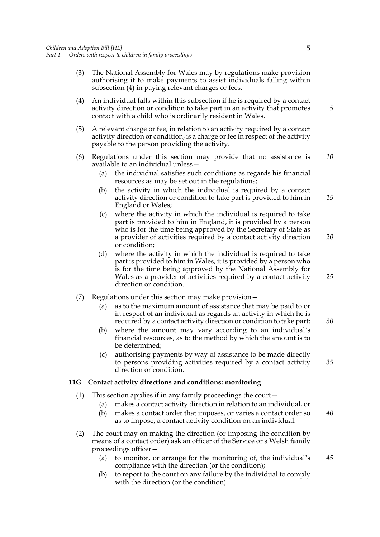- (3) The National Assembly for Wales may by regulations make provision authorising it to make payments to assist individuals falling within subsection (4) in paying relevant charges or fees.
- (4) An individual falls within this subsection if he is required by a contact activity direction or condition to take part in an activity that promotes contact with a child who is ordinarily resident in Wales.
- (5) A relevant charge or fee, in relation to an activity required by a contact activity direction or condition, is a charge or fee in respect of the activity payable to the person providing the activity.
- (6) Regulations under this section may provide that no assistance is available to an individual unless— *10*
	- (a) the individual satisfies such conditions as regards his financial resources as may be set out in the regulations;
	- (b) the activity in which the individual is required by a contact activity direction or condition to take part is provided to him in England or Wales; *15*
	- (c) where the activity in which the individual is required to take part is provided to him in England, it is provided by a person who is for the time being approved by the Secretary of State as a provider of activities required by a contact activity direction or condition; *20*
	- (d) where the activity in which the individual is required to take part is provided to him in Wales, it is provided by a person who is for the time being approved by the National Assembly for Wales as a provider of activities required by a contact activity direction or condition.
- (7) Regulations under this section may make provision—
	- (a) as to the maximum amount of assistance that may be paid to or in respect of an individual as regards an activity in which he is required by a contact activity direction or condition to take part;
	- (b) where the amount may vary according to an individual's financial resources, as to the method by which the amount is to be determined;
	- (c) authorising payments by way of assistance to be made directly to persons providing activities required by a contact activity direction or condition.

## **11G Contact activity directions and conditions: monitoring**

- (1) This section applies if in any family proceedings the court—
	- (a) makes a contact activity direction in relation to an individual, or
	- (b) makes a contact order that imposes, or varies a contact order so as to impose, a contact activity condition on an individual. *40*
- (2) The court may on making the direction (or imposing the condition by means of a contact order) ask an officer of the Service or a Welsh family proceedings officer—
	- (a) to monitor, or arrange for the monitoring of, the individual's compliance with the direction (or the condition); *45*
	- (b) to report to the court on any failure by the individual to comply with the direction (or the condition).

*5*

*25*

*30*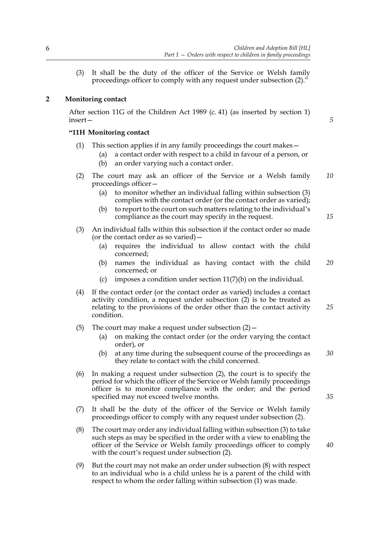(3) It shall be the duty of the officer of the Service or Welsh family proceedings officer to comply with any request under subsection (2)."

## **2 Monitoring contact**

After section 11G of the Children Act 1989 (c. 41) (as inserted by section 1) insert—

## **"11H Monitoring contact**

- (1) This section applies if in any family proceedings the court makes—
	- (a) a contact order with respect to a child in favour of a person, or (b) an order varying such a contact order.
- (2) The court may ask an officer of the Service or a Welsh family proceedings officer— *10*
	- (a) to monitor whether an individual falling within subsection (3) complies with the contact order (or the contact order as varied);
	- (b) to report to the court on such matters relating to the individual's compliance as the court may specify in the request.
- (3) An individual falls within this subsection if the contact order so made (or the contact order as so varied)—
	- (a) requires the individual to allow contact with the child concerned;
	- (b) names the individual as having contact with the child concerned; or *20*
	- (c) imposes a condition under section  $11(7)(b)$  on the individual.
- (4) If the contact order (or the contact order as varied) includes a contact activity condition, a request under subsection (2) is to be treated as relating to the provisions of the order other than the contact activity condition. *25*
- (5) The court may make a request under subsection  $(2)$  -
	- (a) on making the contact order (or the order varying the contact order), or
	- (b) at any time during the subsequent course of the proceedings as they relate to contact with the child concerned. *30*
- (6) In making a request under subsection (2), the court is to specify the period for which the officer of the Service or Welsh family proceedings officer is to monitor compliance with the order; and the period specified may not exceed twelve months.
- (7) It shall be the duty of the officer of the Service or Welsh family proceedings officer to comply with any request under subsection (2).
- (8) The court may order any individual falling within subsection (3) to take such steps as may be specified in the order with a view to enabling the officer of the Service or Welsh family proceedings officer to comply with the court's request under subsection (2).
- (9) But the court may not make an order under subsection (8) with respect to an individual who is a child unless he is a parent of the child with respect to whom the order falling within subsection (1) was made.

*15*

*5*

*40*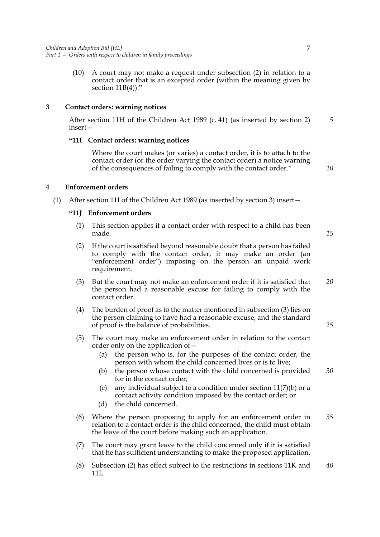(10) A court may not make a request under subsection (2) in relation to a contact order that is an excepted order (within the meaning given by section 11B(4))."

## **3 Contact orders: warning notices**

After section 11H of the Children Act 1989 (c. 41) (as inserted by section 2) insert— *5*

## **"11I Contact orders: warning notices**

Where the court makes (or varies) a contact order, it is to attach to the contact order (or the order varying the contact order) a notice warning of the consequences of failing to comply with the contact order."

*10*

## **4 Enforcement orders**

(1) After section 11I of the Children Act 1989 (as inserted by section 3) insert—

## **"11J Enforcement orders**

(1) This section applies if a contact order with respect to a child has been made.

*15*

- (2) If the court is satisfied beyond reasonable doubt that a person has failed to comply with the contact order, it may make an order (an "enforcement order") imposing on the person an unpaid work requirement.
- (3) But the court may not make an enforcement order if it is satisfied that the person had a reasonable excuse for failing to comply with the contact order. *20*
- (4) The burden of proof as to the matter mentioned in subsection (3) lies on the person claiming to have had a reasonable excuse, and the standard of proof is the balance of probabilities.
- (5) The court may make an enforcement order in relation to the contact order only on the application of—
	- (a) the person who is, for the purposes of the contact order, the person with whom the child concerned lives or is to live;
	- (b) the person whose contact with the child concerned is provided for in the contact order; *30*
	- (c) any individual subject to a condition under section 11(7)(b) or a contact activity condition imposed by the contact order; or
	- (d) the child concerned.
- (6) Where the person proposing to apply for an enforcement order in relation to a contact order is the child concerned, the child must obtain the leave of the court before making such an application. *35*
- (7) The court may grant leave to the child concerned only if it is satisfied that he has sufficient understanding to make the proposed application.
- (8) Subsection (2) has effect subject to the restrictions in sections 11K and 11L. *40*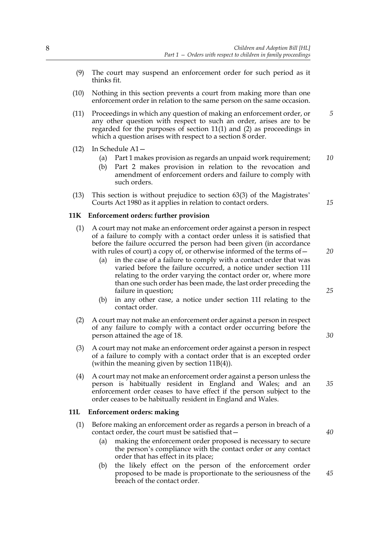- (9) The court may suspend an enforcement order for such period as it thinks fit.
- (10) Nothing in this section prevents a court from making more than one enforcement order in relation to the same person on the same occasion.
- (11) Proceedings in which any question of making an enforcement order, or any other question with respect to such an order, arises are to be regarded for the purposes of section 11(1) and (2) as proceedings in which a question arises with respect to a section 8 order. *5*
- (12) In Schedule A1—
	- (a) Part 1 makes provision as regards an unpaid work requirement; *10*
	- (b) Part 2 makes provision in relation to the revocation and amendment of enforcement orders and failure to comply with such orders.
- (13) This section is without prejudice to section 63(3) of the Magistrates' Courts Act 1980 as it applies in relation to contact orders.

#### **11K Enforcement orders: further provision**

- (1) A court may not make an enforcement order against a person in respect of a failure to comply with a contact order unless it is satisfied that before the failure occurred the person had been given (in accordance with rules of court) a copy of, or otherwise informed of the terms of—
	- (a) in the case of a failure to comply with a contact order that was varied before the failure occurred, a notice under section 11I relating to the order varying the contact order or, where more than one such order has been made, the last order preceding the failure in question;
	- (b) in any other case, a notice under section 11I relating to the contact order.
- (2) A court may not make an enforcement order against a person in respect of any failure to comply with a contact order occurring before the person attained the age of 18.
- (3) A court may not make an enforcement order against a person in respect of a failure to comply with a contact order that is an excepted order (within the meaning given by section 11B(4)).
- (4) A court may not make an enforcement order against a person unless the person is habitually resident in England and Wales; and an enforcement order ceases to have effect if the person subject to the order ceases to be habitually resident in England and Wales.

#### **11L Enforcement orders: making**

- (1) Before making an enforcement order as regards a person in breach of a contact order, the court must be satisfied that—
	- (a) making the enforcement order proposed is necessary to secure the person's compliance with the contact order or any contact order that has effect in its place;
	- (b) the likely effect on the person of the enforcement order proposed to be made is proportionate to the seriousness of the breach of the contact order.

*20*

*15*

*25*

*30*

*40*

*45*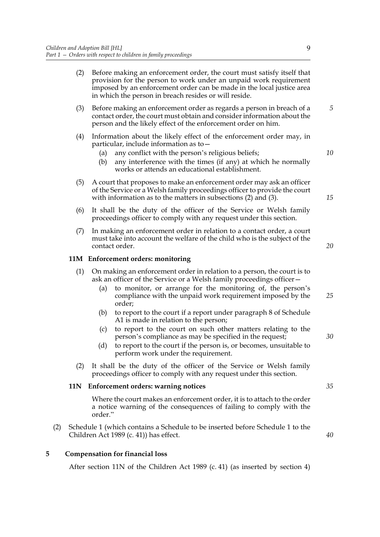- (2) Before making an enforcement order, the court must satisfy itself that provision for the person to work under an unpaid work requirement imposed by an enforcement order can be made in the local justice area in which the person in breach resides or will reside.
- (3) Before making an enforcement order as regards a person in breach of a contact order, the court must obtain and consider information about the person and the likely effect of the enforcement order on him.
- (4) Information about the likely effect of the enforcement order may, in particular, include information as to—
	- (a) any conflict with the person's religious beliefs;
	- (b) any interference with the times (if any) at which he normally works or attends an educational establishment.
- (5) A court that proposes to make an enforcement order may ask an officer of the Service or a Welsh family proceedings officer to provide the court with information as to the matters in subsections (2) and (3).
- (6) It shall be the duty of the officer of the Service or Welsh family proceedings officer to comply with any request under this section.
- (7) In making an enforcement order in relation to a contact order, a court must take into account the welfare of the child who is the subject of the contact order.

## **11M Enforcement orders: monitoring**

- (1) On making an enforcement order in relation to a person, the court is to ask an officer of the Service or a Welsh family proceedings officer—
	- (a) to monitor, or arrange for the monitoring of, the person's compliance with the unpaid work requirement imposed by the order; *25*
	- (b) to report to the court if a report under paragraph 8 of Schedule A1 is made in relation to the person;
	- (c) to report to the court on such other matters relating to the person's compliance as may be specified in the request;
	- (d) to report to the court if the person is, or becomes, unsuitable to perform work under the requirement.
- (2) It shall be the duty of the officer of the Service or Welsh family proceedings officer to comply with any request under this section.

#### **11N Enforcement orders: warning notices**

 Where the court makes an enforcement order, it is to attach to the order a notice warning of the consequences of failing to comply with the order."

(2) Schedule 1 (which contains a Schedule to be inserted before Schedule 1 to the Children Act 1989 (c. 41)) has effect.

#### **5 Compensation for financial loss**

After section 11N of the Children Act 1989 (c. 41) (as inserted by section 4)

9

*5*

*10*

*15*

*20*

*35*

*40*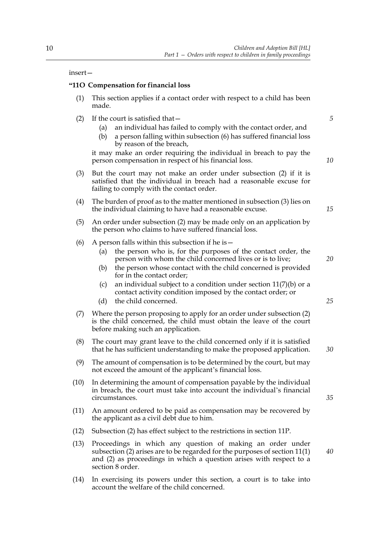#### insert—

#### **"11O Compensation for financial loss**

- (1) This section applies if a contact order with respect to a child has been made.
- (2) If the court is satisfied that—
	- (a) an individual has failed to comply with the contact order, and
	- (b) a person falling within subsection (6) has suffered financial loss by reason of the breach,

it may make an order requiring the individual in breach to pay the person compensation in respect of his financial loss.

- (3) But the court may not make an order under subsection (2) if it is satisfied that the individual in breach had a reasonable excuse for failing to comply with the contact order.
- (4) The burden of proof as to the matter mentioned in subsection (3) lies on the individual claiming to have had a reasonable excuse.
- (5) An order under subsection (2) may be made only on an application by the person who claims to have suffered financial loss.
- (6) A person falls within this subsection if he is  $-$ 
	- (a) the person who is, for the purposes of the contact order, the person with whom the child concerned lives or is to live;
	- (b) the person whose contact with the child concerned is provided for in the contact order;
	- (c) an individual subject to a condition under section 11(7)(b) or a contact activity condition imposed by the contact order; or
	- (d) the child concerned.
- (7) Where the person proposing to apply for an order under subsection (2) is the child concerned, the child must obtain the leave of the court before making such an application.
- (8) The court may grant leave to the child concerned only if it is satisfied that he has sufficient understanding to make the proposed application.
- (9) The amount of compensation is to be determined by the court, but may not exceed the amount of the applicant's financial loss.
- (10) In determining the amount of compensation payable by the individual in breach, the court must take into account the individual's financial circumstances.
- (11) An amount ordered to be paid as compensation may be recovered by the applicant as a civil debt due to him.
- (12) Subsection (2) has effect subject to the restrictions in section 11P.
- (13) Proceedings in which any question of making an order under subsection (2) arises are to be regarded for the purposes of section 11(1) and (2) as proceedings in which a question arises with respect to a section 8 order.
- (14) In exercising its powers under this section, a court is to take into account the welfare of the child concerned.

*15*

*20*

*25*

*30*

*35*

*40*

*10*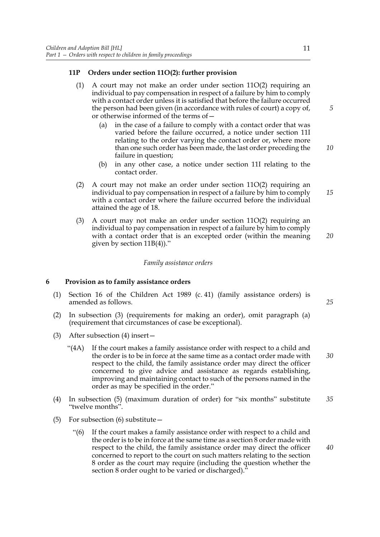## **11P Orders under section 11O(2): further provision**

- (1) A court may not make an order under section 11O(2) requiring an individual to pay compensation in respect of a failure by him to comply with a contact order unless it is satisfied that before the failure occurred the person had been given (in accordance with rules of court) a copy of, or otherwise informed of the terms of
	- in the case of a failure to comply with a contact order that was varied before the failure occurred, a notice under section 11I relating to the order varying the contact order or, where more than one such order has been made, the last order preceding the failure in question; *10*
	- (b) in any other case, a notice under section 11I relating to the contact order.
- (2) A court may not make an order under section 11O(2) requiring an individual to pay compensation in respect of a failure by him to comply with a contact order where the failure occurred before the individual attained the age of 18. *15*
- (3) A court may not make an order under section 11O(2) requiring an individual to pay compensation in respect of a failure by him to comply with a contact order that is an excepted order (within the meaning given by section 11B(4))." *20*

## *Family assistance orders*

## **6 Provision as to family assistance orders**

- (1) Section 16 of the Children Act 1989 (c. 41) (family assistance orders) is amended as follows.
- (2) In subsection (3) (requirements for making an order), omit paragraph (a) (requirement that circumstances of case be exceptional).
- (3) After subsection (4) insert—
	- "(4A) If the court makes a family assistance order with respect to a child and the order is to be in force at the same time as a contact order made with respect to the child, the family assistance order may direct the officer concerned to give advice and assistance as regards establishing, improving and maintaining contact to such of the persons named in the order as may be specified in the order." *30*
- (4) In subsection (5) (maximum duration of order) for "six months" substitute "twelve months". *35*
- (5) For subsection (6) substitute—
	- "(6) If the court makes a family assistance order with respect to a child and the order is to be in force at the same time as a section 8 order made with respect to the child, the family assistance order may direct the officer concerned to report to the court on such matters relating to the section 8 order as the court may require (including the question whether the section 8 order ought to be varied or discharged).<sup>7</sup>

*5*

*25*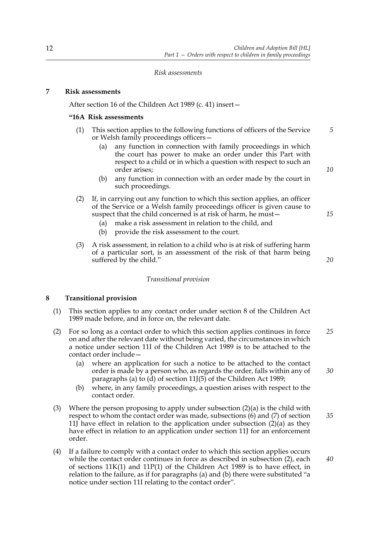*Risk assessments*

## **7 Risk assessments**

After section 16 of the Children Act 1989 (c. 41) insert—

#### **"16A Risk assessments**

- (1) This section applies to the following functions of officers of the Service or Welsh family proceedings officers— *5*
	- (a) any function in connection with family proceedings in which the court has power to make an order under this Part with respect to a child or in which a question with respect to such an order arises;
	- (b) any function in connection with an order made by the court in such proceedings.
- (2) If, in carrying out any function to which this section applies, an officer of the Service or a Welsh family proceedings officer is given cause to suspect that the child concerned is at risk of harm, he must—
	- (a) make a risk assessment in relation to the child, and
	- (b) provide the risk assessment to the court.
- (3) A risk assessment, in relation to a child who is at risk of suffering harm of a particular sort, is an assessment of the risk of that harm being suffered by the child."

## *Transitional provision*

## **8 Transitional provision**

- (1) This section applies to any contact order under section 8 of the Children Act 1989 made before, and in force on, the relevant date.
- (2) For so long as a contact order to which this section applies continues in force on and after the relevant date without being varied, the circumstances in which a notice under section 11I of the Children Act 1989 is to be attached to the contact order include— *25*
	- (a) where an application for such a notice to be attached to the contact order is made by a person who, as regards the order, falls within any of paragraphs (a) to (d) of section 11J(5) of the Children Act 1989;
	- (b) where, in any family proceedings, a question arises with respect to the contact order.
- (3) Where the person proposing to apply under subsection  $(2)(a)$  is the child with respect to whom the contact order was made, subsections (6) and (7) of section 11] have effect in relation to the application under subsection  $(2)(a)$  as they have effect in relation to an application under section 11. For an enforcement order. *35*
- (4) If a failure to comply with a contact order to which this section applies occurs while the contact order continues in force as described in subsection (2), each of sections 11K(1) and 11P(1) of the Children Act 1989 is to have effect, in relation to the failure, as if for paragraphs (a) and (b) there were substituted "a notice under section 11I relating to the contact order".

*10*

*20*

*15*

*30*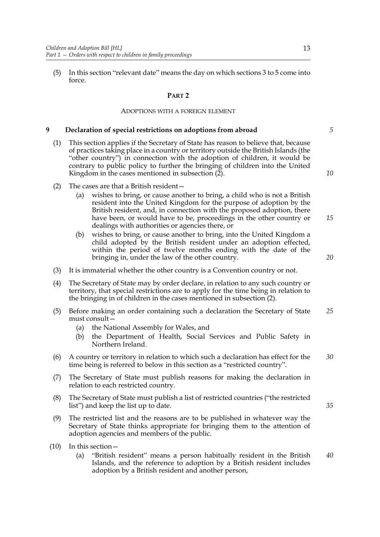(5) In this section "relevant date" means the day on which sections 3 to 5 come into force.

## **PART 2**

#### ADOPTIONS WITH A FOREIGN ELEMENT

#### **9 Declaration of special restrictions on adoptions from abroad**

- (1) This section applies if the Secretary of State has reason to believe that, because of practices taking place in a country or territory outside the British Islands (the "other country") in connection with the adoption of children, it would be contrary to public policy to further the bringing of children into the United Kingdom in the cases mentioned in subsection (2).
- (2) The cases are that a British resident—
	- (a) wishes to bring, or cause another to bring, a child who is not a British resident into the United Kingdom for the purpose of adoption by the British resident, and, in connection with the proposed adoption, there have been, or would have to be, proceedings in the other country or dealings with authorities or agencies there, or
	- (b) wishes to bring, or cause another to bring, into the United Kingdom a child adopted by the British resident under an adoption effected, within the period of twelve months ending with the date of the bringing in, under the law of the other country.
- (3) It is immaterial whether the other country is a Convention country or not.
- (4) The Secretary of State may by order declare, in relation to any such country or territory, that special restrictions are to apply for the time being in relation to the bringing in of children in the cases mentioned in subsection (2).
- (5) Before making an order containing such a declaration the Secretary of State must consult— *25*
	- (a) the National Assembly for Wales, and
	- (b) the Department of Health, Social Services and Public Safety in Northern Ireland.
- (6) A country or territory in relation to which such a declaration has effect for the time being is referred to below in this section as a "restricted country". *30*
- (7) The Secretary of State must publish reasons for making the declaration in relation to each restricted country.
- (8) The Secretary of State must publish a list of restricted countries ("the restricted list") and keep the list up to date.
- (9) The restricted list and the reasons are to be published in whatever way the Secretary of State thinks appropriate for bringing them to the attention of adoption agencies and members of the public.
- (10) In this section—
	- (a) "British resident" means a person habitually resident in the British Islands, and the reference to adoption by a British resident includes adoption by a British resident and another person, *40*

*10*

*5*

*20*

*35*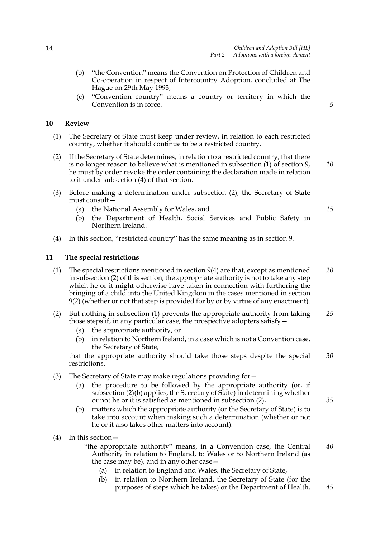- (b) "the Convention" means the Convention on Protection of Children and Co-operation in respect of Intercountry Adoption, concluded at The Hague on 29th May 1993,
- (c) "Convention country" means a country or territory in which the Convention is in force.

*5*

## **10 Review**

- (1) The Secretary of State must keep under review, in relation to each restricted country, whether it should continue to be a restricted country.
- (2) If the Secretary of State determines, in relation to a restricted country, that there is no longer reason to believe what is mentioned in subsection (1) of section 9, he must by order revoke the order containing the declaration made in relation to it under subsection (4) of that section.
- (3) Before making a determination under subsection (2), the Secretary of State must consult—
	- (a) the National Assembly for Wales, and
	- (b) the Department of Health, Social Services and Public Safety in Northern Ireland.
- (4) In this section, "restricted country" has the same meaning as in section 9.

#### **11 The special restrictions**

- (1) The special restrictions mentioned in section 9(4) are that, except as mentioned in subsection (2) of this section, the appropriate authority is not to take any step which he or it might otherwise have taken in connection with furthering the bringing of a child into the United Kingdom in the cases mentioned in section 9(2) (whether or not that step is provided for by or by virtue of any enactment). *20*
- (2) But nothing in subsection (1) prevents the appropriate authority from taking those steps if, in any particular case, the prospective adopters satisfy— *25*
	- (a) the appropriate authority, or
	- (b) in relation to Northern Ireland, in a case which is not a Convention case, the Secretary of State,

that the appropriate authority should take those steps despite the special restrictions. *30*

- (3) The Secretary of State may make regulations providing for—
	- (a) the procedure to be followed by the appropriate authority (or, if subsection (2)(b) applies, the Secretary of State) in determining whether or not he or it is satisfied as mentioned in subsection (2),
	- (b) matters which the appropriate authority (or the Secretary of State) is to take into account when making such a determination (whether or not he or it also takes other matters into account).
- (4) In this section—
	- "the appropriate authority" means, in a Convention case, the Central Authority in relation to England, to Wales or to Northern Ireland (as the case may be), and in any other case— *40*
		- (a) in relation to England and Wales, the Secretary of State,
		- (b) in relation to Northern Ireland, the Secretary of State (for the purposes of steps which he takes) or the Department of Health, *45*

*15*

*10*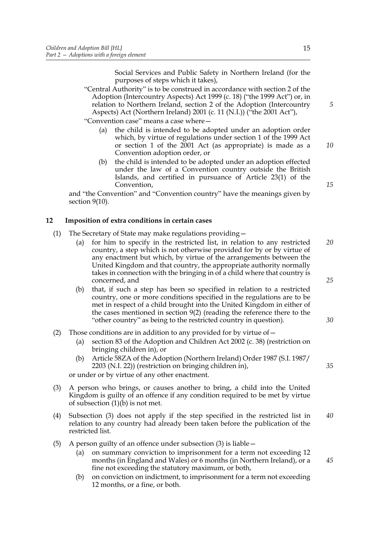Social Services and Public Safety in Northern Ireland (for the purposes of steps which it takes),

"Central Authority" is to be construed in accordance with section 2 of the Adoption (Intercountry Aspects) Act 1999 (c. 18) ("the 1999 Act") or, in relation to Northern Ireland, section 2 of the Adoption (Intercountry Aspects) Act (Northern Ireland) 2001 (c. 11 (N.I.)) ("the 2001 Act"),

"Convention case" means a case where—

- (a) the child is intended to be adopted under an adoption order which, by virtue of regulations under section 1 of the 1999 Act or section 1 of the 2001 Act (as appropriate) is made as a Convention adoption order, or
- (b) the child is intended to be adopted under an adoption effected under the law of a Convention country outside the British Islands, and certified in pursuance of Article 23(1) of the Convention,

and "the Convention" and "Convention country" have the meanings given by section 9(10).

## **12 Imposition of extra conditions in certain cases**

- (1) The Secretary of State may make regulations providing—
	- (a) for him to specify in the restricted list, in relation to any restricted country, a step which is not otherwise provided for by or by virtue of any enactment but which, by virtue of the arrangements between the United Kingdom and that country, the appropriate authority normally takes in connection with the bringing in of a child where that country is concerned, and *20 25*
	- (b) that, if such a step has been so specified in relation to a restricted country, one or more conditions specified in the regulations are to be met in respect of a child brought into the United Kingdom in either of the cases mentioned in section 9(2) (reading the reference there to the "other country" as being to the restricted country in question).
- (2) Those conditions are in addition to any provided for by virtue of  $-$ 
	- (a) section 83 of the Adoption and Children Act 2002 (c. 38) (restriction on bringing children in), or
	- (b) Article 58ZA of the Adoption (Northern Ireland) Order 1987 (S.I. 1987/ 2203 (N.I. 22)) (restriction on bringing children in),

or under or by virtue of any other enactment.

- (3) A person who brings, or causes another to bring, a child into the United Kingdom is guilty of an offence if any condition required to be met by virtue of subsection  $(1)(\dot{b})$  is not met.
- (4) Subsection (3) does not apply if the step specified in the restricted list in relation to any country had already been taken before the publication of the restricted list. *40*
- (5) A person guilty of an offence under subsection (3) is liable—
	- (a) on summary conviction to imprisonment for a term not exceeding 12 months (in England and Wales) or 6 months (in Northern Ireland), or a fine not exceeding the statutory maximum, or both,
	- (b) on conviction on indictment, to imprisonment for a term not exceeding 12 months, or a fine, or both.

*5*

*10*

*15*

*30*

*45*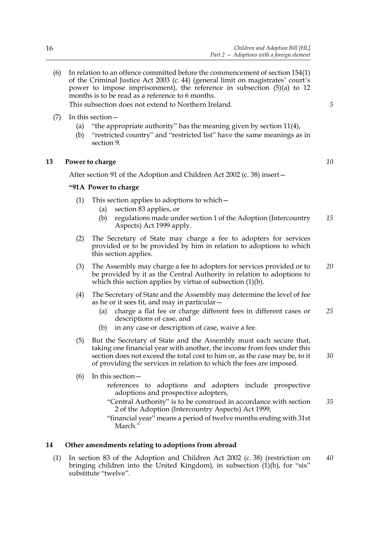- 
- (6) In relation to an offence committed before the commencement of section 154(1) of the Criminal Justice Act 2003 (c. 44) (general limit on magistrates' court's power to impose imprisonment), the reference in subsection (5)(a) to 12 months is to be read as a reference to 6 months. This subsection does not extend to Northern Ireland.
- (7) In this section—
	- (a) "the appropriate authority" has the meaning given by section 11(4),
	- (b) "restricted country" and "restricted list" have the same meanings as in section 9.

# **13 Power to charge**

After section 91 of the Adoption and Children Act 2002 (c. 38) insert—

# **"91A Power to charge**

- (1) This section applies to adoptions to which—
	- (a) section 83 applies, or
	- (b) regulations made under section 1 of the Adoption (Intercountry Aspects) Act 1999 apply. *15*
- (2) The Secretary of State may charge a fee to adopters for services provided or to be provided by him in relation to adoptions to which this section applies.
- (3) The Assembly may charge a fee to adopters for services provided or to be provided by it as the Central Authority in relation to adoptions to which this section applies by virtue of subsection (1)(b). *20*
- (4) The Secretary of State and the Assembly may determine the level of fee as he or it sees fit, and may in particular—
	- (a) charge a flat fee or charge different fees in different cases or descriptions of case, and *25*
	- (b) in any case or description of case, waive a fee.
- (5) But the Secretary of State and the Assembly must each secure that, taking one financial year with another, the income from fees under this section does not exceed the total cost to him or, as the case may be, to it of providing the services in relation to which the fees are imposed.
- (6) In this section
	- references to adoptions and adopters include prospective adoptions and prospective adopters,
	- "Central Authority" is to be construed in accordance with section 2 of the Adoption (Intercountry Aspects) Act 1999, *35*
	- "financial year" means a period of twelve months ending with 31st March."

# **14 Other amendments relating to adoptions from abroad**

(1) In section 83 of the Adoption and Children Act 2002 (c. 38) (restriction on bringing children into the United Kingdom), in subsection (1)(b), for "six" substitute "twelve".

*5*

*10*

*30*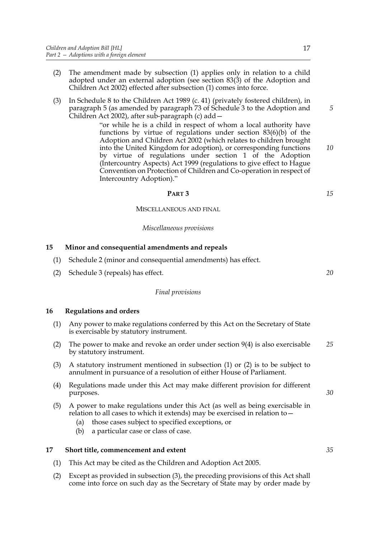- (2) The amendment made by subsection (1) applies only in relation to a child adopted under an external adoption (see section 83(3) of the Adoption and Children Act 2002) effected after subsection (1) comes into force.
- (3) In Schedule 8 to the Children Act 1989 (c. 41) (privately fostered children), in paragraph 5 (as amended by paragraph 73 of Schedule 3 to the Adoption and Children Act 2002), after sub-paragraph (c) add—

"or while he is a child in respect of whom a local authority have functions by virtue of regulations under section 83(6)(b) of the Adoption and Children Act 2002 (which relates to children brought into the United Kingdom for adoption), or corresponding functions by virtue of regulations under section 1 of the Adoption (Intercountry Aspects) Act 1999 (regulations to give effect to Hague Convention on Protection of Children and Co-operation in respect of Intercountry Adoption)."

#### **PART 3**

MISCELLANEOUS AND FINAL

#### *Miscellaneous provisions*

## **15 Minor and consequential amendments and repeals**

- (1) Schedule 2 (minor and consequential amendments) has effect.
- (2) Schedule 3 (repeals) has effect.

#### *Final provisions*

#### **16 Regulations and orders**

- (1) Any power to make regulations conferred by this Act on the Secretary of State is exercisable by statutory instrument.
- (2) The power to make and revoke an order under section 9(4) is also exercisable by statutory instrument. *25*
- (3) A statutory instrument mentioned in subsection (1) or (2) is to be subject to annulment in pursuance of a resolution of either House of Parliament.
- (4) Regulations made under this Act may make different provision for different purposes.
- (5) A power to make regulations under this Act (as well as being exercisable in relation to all cases to which it extends) may be exercised in relation to—
	- (a) those cases subject to specified exceptions, or
	- (b) a particular case or class of case.

## **17 Short title, commencement and extent**

- (1) This Act may be cited as the Children and Adoption Act 2005.
- (2) Except as provided in subsection (3), the preceding provisions of this Act shall come into force on such day as the Secretary of State may by order made by

*30*

*15*

*20*

*5*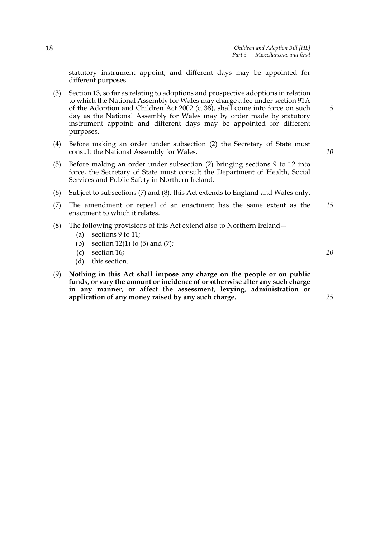statutory instrument appoint; and different days may be appointed for different purposes.

(3) Section 13, so far as relating to adoptions and prospective adoptions in relation to which the National Assembly for Wales may charge a fee under section 91A of the Adoption and Children Act 2002 (c. 38), shall come into force on such day as the National Assembly for Wales may by order made by statutory instrument appoint; and different days may be appointed for different purposes.

- (4) Before making an order under subsection (2) the Secretary of State must consult the National Assembly for Wales.
- (5) Before making an order under subsection (2) bringing sections 9 to 12 into force, the Secretary of State must consult the Department of Health, Social Services and Public Safety in Northern Ireland.
- (6) Subject to subsections (7) and (8), this Act extends to England and Wales only.
- (7) The amendment or repeal of an enactment has the same extent as the enactment to which it relates. *15*
- (8) The following provisions of this Act extend also to Northern Ireland—
	- (a) sections 9 to 11;
	- (b) section  $12(1)$  to  $(5)$  and  $(7)$ ;
	- (c) section 16;
	- (d) this section.
- (9) **Nothing in this Act shall impose any charge on the people or on public funds, or vary the amount or incidence of or otherwise alter any such charge in any manner, or affect the assessment, levying, administration or application of any money raised by any such charge.**

*10*

*5*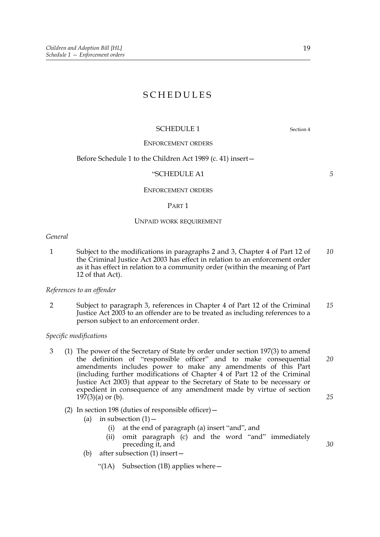# SCHEDULES

## SCHEDULE 1 Section 4

*5*

#### ENFORCEMENT ORDERS

#### Before Schedule 1 to the Children Act 1989 (c. 41) insert—

#### "SCHEDULE A1

#### ENFORCEMENT ORDERS

#### PART 1

#### UNPAID WORK REQUIREMENT

#### *General*

1 Subject to the modifications in paragraphs 2 and 3, Chapter 4 of Part 12 of the Criminal Justice Act 2003 has effect in relation to an enforcement order as it has effect in relation to a community order (within the meaning of Part 12 of that Act). *10*

## *References to an offender*

2 Subject to paragraph 3, references in Chapter 4 of Part 12 of the Criminal Justice Act 2003 to an offender are to be treated as including references to a person subject to an enforcement order. *15*

#### *Specific modifications*

- 3 (1) The power of the Secretary of State by order under section 197(3) to amend the definition of "responsible officer" and to make consequential amendments includes power to make any amendments of this Part (including further modifications of Chapter 4 of Part 12 of the Criminal Justice Act 2003) that appear to the Secretary of State to be necessary or expedient in consequence of any amendment made by virtue of section  $197(3)$ (a) or (b). *20 25*
	- (2) In section 198 (duties of responsible officer)—
		- (a) in subsection  $(1)$  -
			- (i) at the end of paragraph (a) insert "and", and
			- (ii) omit paragraph (c) and the word "and" immediately preceding it, and
		- (b) after subsection (1) insert—
			- "(1A) Subsection (1B) applies where  $-$

19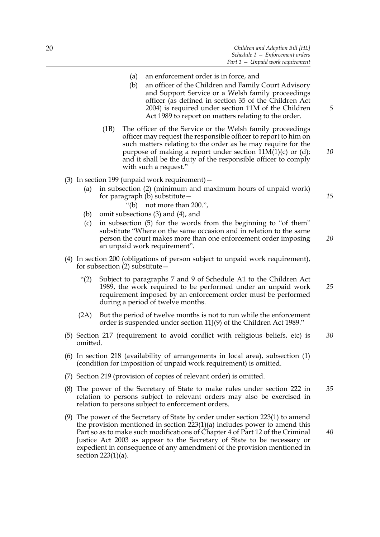- (a) an enforcement order is in force, and
- (b) an officer of the Children and Family Court Advisory and Support Service or a Welsh family proceedings officer (as defined in section 35 of the Children Act 2004) is required under section 11M of the Children Act 1989 to report on matters relating to the order.
- (1B) The officer of the Service or the Welsh family proceedings officer may request the responsible officer to report to him on such matters relating to the order as he may require for the purpose of making a report under section 11M(1)(c) or (d); and it shall be the duty of the responsible officer to comply with such a request."
- (3) In section 199 (unpaid work requirement)—
	- (a) in subsection (2) (minimum and maximum hours of unpaid work) for paragraph (b) substitute—
		- "(b) not more than 200.",
	- (b) omit subsections (3) and (4), and
	- (c) in subsection (5) for the words from the beginning to "of them" substitute "Where on the same occasion and in relation to the same person the court makes more than one enforcement order imposing an unpaid work requirement". *20*
- (4) In section 200 (obligations of person subject to unpaid work requirement), for subsection (2) substitute—
	- "(2) Subject to paragraphs 7 and 9 of Schedule A1 to the Children Act 1989, the work required to be performed under an unpaid work requirement imposed by an enforcement order must be performed during a period of twelve months. *25*
	- (2A) But the period of twelve months is not to run while the enforcement order is suspended under section 11J(9) of the Children Act 1989."
- (5) Section 217 (requirement to avoid conflict with religious beliefs, etc) is omitted. *30*
- (6) In section 218 (availability of arrangements in local area), subsection (1) (condition for imposition of unpaid work requirement) is omitted.
- (7) Section 219 (provision of copies of relevant order) is omitted.
- (8) The power of the Secretary of State to make rules under section 222 in relation to persons subject to relevant orders may also be exercised in relation to persons subject to enforcement orders. *35*
- (9) The power of the Secretary of State by order under section 223(1) to amend the provision mentioned in section 223(1)(a) includes power to amend this Part so as to make such modifications of Chapter 4 of Part 12 of the Criminal Justice Act 2003 as appear to the Secretary of State to be necessary or expedient in consequence of any amendment of the provision mentioned in section 223(1)(a). *40*

*5*

*10*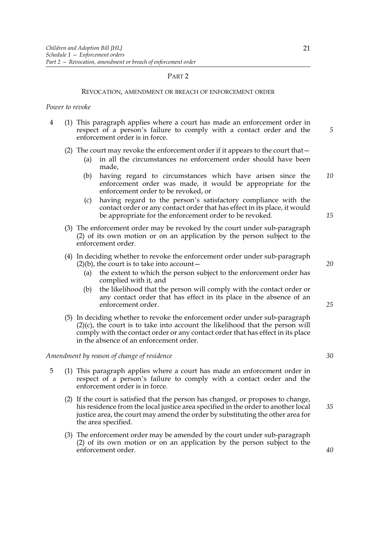#### PART 2

#### REVOCATION, AMENDMENT OR BREACH OF ENFORCEMENT ORDER

#### *Power to revoke*

4 (1) This paragraph applies where a court has made an enforcement order in respect of a person's failure to comply with a contact order and the enforcement order is in force.

#### (2) The court may revoke the enforcement order if it appears to the court that—

- (a) in all the circumstances no enforcement order should have been made,
- (b) having regard to circumstances which have arisen since the enforcement order was made, it would be appropriate for the enforcement order to be revoked, or *10*
- (c) having regard to the person's satisfactory compliance with the contact order or any contact order that has effect in its place, it would be appropriate for the enforcement order to be revoked.
- (3) The enforcement order may be revoked by the court under sub-paragraph (2) of its own motion or on an application by the person subject to the enforcement order.
- (4) In deciding whether to revoke the enforcement order under sub-paragraph  $(2)(b)$ , the court is to take into account –
	- (a) the extent to which the person subject to the enforcement order has complied with it, and
	- (b) the likelihood that the person will comply with the contact order or any contact order that has effect in its place in the absence of an enforcement order.
- (5) In deciding whether to revoke the enforcement order under sub-paragraph  $(2)(c)$ , the court is to take into account the likelihood that the person will comply with the contact order or any contact order that has effect in its place in the absence of an enforcement order.

#### *Amendment by reason of change of residence*

- 5 (1) This paragraph applies where a court has made an enforcement order in respect of a person's failure to comply with a contact order and the enforcement order is in force.
	- (2) If the court is satisfied that the person has changed, or proposes to change, his residence from the local justice area specified in the order to another local justice area, the court may amend the order by substituting the other area for the area specified. *35*
	- (3) The enforcement order may be amended by the court under sub-paragraph (2) of its own motion or on an application by the person subject to the enforcement order.

*5*

*15*

*20*

*30*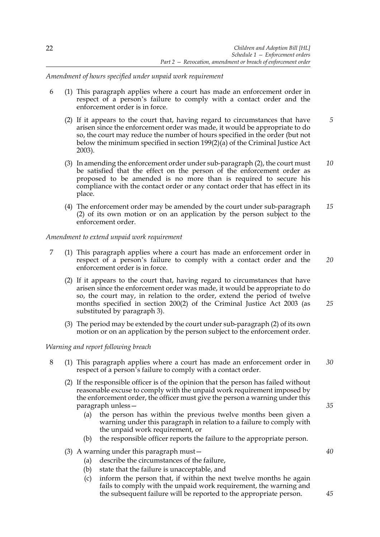*Amendment of hours specified under unpaid work requirement*

- 6 (1) This paragraph applies where a court has made an enforcement order in respect of a person's failure to comply with a contact order and the enforcement order is in force.
	- (2) If it appears to the court that, having regard to circumstances that have arisen since the enforcement order was made, it would be appropriate to do so, the court may reduce the number of hours specified in the order (but not below the minimum specified in section 199(2)(a) of the Criminal Justice Act 2003). *5*
	- (3) In amending the enforcement order under sub-paragraph (2), the court must be satisfied that the effect on the person of the enforcement order as proposed to be amended is no more than is required to secure his compliance with the contact order or any contact order that has effect in its place. *10*
	- (4) The enforcement order may be amended by the court under sub-paragraph (2) of its own motion or on an application by the person subject to the enforcement order. *15*

## *Amendment to extend unpaid work requirement*

- 7 (1) This paragraph applies where a court has made an enforcement order in respect of a person's failure to comply with a contact order and the enforcement order is in force. *20*
	- (2) If it appears to the court that, having regard to circumstances that have arisen since the enforcement order was made, it would be appropriate to do so, the court may, in relation to the order, extend the period of twelve months specified in section 200(2) of the Criminal Justice Act 2003 (as substituted by paragraph 3).
	- (3) The period may be extended by the court under sub-paragraph (2) of its own motion or on an application by the person subject to the enforcement order.

#### *Warning and report following breach*

- 8 (1) This paragraph applies where a court has made an enforcement order in respect of a person's failure to comply with a contact order. *30*
	- (2) If the responsible officer is of the opinion that the person has failed without reasonable excuse to comply with the unpaid work requirement imposed by the enforcement order, the officer must give the person a warning under this paragraph unless—
		- (a) the person has within the previous twelve months been given a warning under this paragraph in relation to a failure to comply with the unpaid work requirement, or
		- (b) the responsible officer reports the failure to the appropriate person.
	- (3) A warning under this paragraph must—
		- (a) describe the circumstances of the failure,
		- (b) state that the failure is unacceptable, and
		- (c) inform the person that, if within the next twelve months he again fails to comply with the unpaid work requirement, the warning and the subsequent failure will be reported to the appropriate person.

*25*

*35*

*40*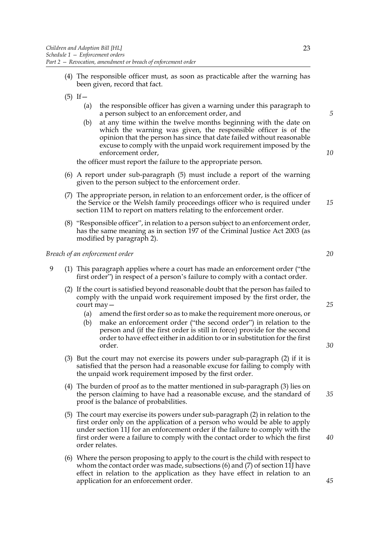- (4) The responsible officer must, as soon as practicable after the warning has been given, record that fact.
- $(5)$  If  $-$ 
	- (a) the responsible officer has given a warning under this paragraph to a person subject to an enforcement order, and
	- (b) at any time within the twelve months beginning with the date on which the warning was given, the responsible officer is of the opinion that the person has since that date failed without reasonable excuse to comply with the unpaid work requirement imposed by the enforcement order,

the officer must report the failure to the appropriate person.

- (6) A report under sub-paragraph (5) must include a report of the warning given to the person subject to the enforcement order.
- (7) The appropriate person, in relation to an enforcement order, is the officer of the Service or the Welsh family proceedings officer who is required under section 11M to report on matters relating to the enforcement order.
- (8) "Responsible officer", in relation to a person subject to an enforcement order, has the same meaning as in section 197 of the Criminal Justice Act 2003 (as modified by paragraph 2).

#### *Breach of an enforcement order*

- 9 (1) This paragraph applies where a court has made an enforcement order ("the first order") in respect of a person's failure to comply with a contact order.
	- (2) If the court is satisfied beyond reasonable doubt that the person has failed to comply with the unpaid work requirement imposed by the first order, the court may—
		- (a) amend the first order so as to make the requirement more onerous, or
		- (b) make an enforcement order ("the second order") in relation to the person and (if the first order is still in force) provide for the second order to have effect either in addition to or in substitution for the first order.
	- (3) But the court may not exercise its powers under sub-paragraph (2) if it is satisfied that the person had a reasonable excuse for failing to comply with the unpaid work requirement imposed by the first order.
	- (4) The burden of proof as to the matter mentioned in sub-paragraph (3) lies on the person claiming to have had a reasonable excuse, and the standard of proof is the balance of probabilities.
	- (5) The court may exercise its powers under sub-paragraph (2) in relation to the first order only on the application of a person who would be able to apply under section 11J for an enforcement order if the failure to comply with the first order were a failure to comply with the contact order to which the first order relates.
	- (6) Where the person proposing to apply to the court is the child with respect to whom the contact order was made, subsections (6) and (7) of section 11J have effect in relation to the application as they have effect in relation to an application for an enforcement order.

*20*

*5*

*10*

*15*

*30*

*25*

*40*

*45*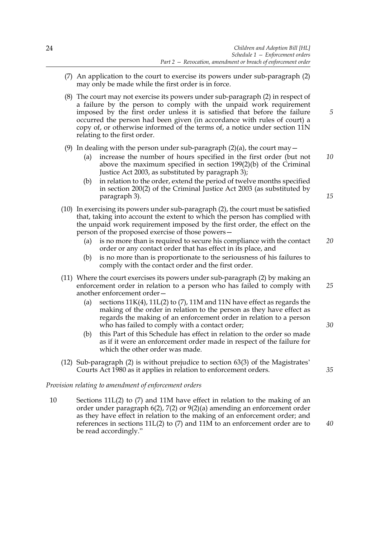- (7) An application to the court to exercise its powers under sub-paragraph (2) may only be made while the first order is in force.
- (8) The court may not exercise its powers under sub-paragraph (2) in respect of a failure by the person to comply with the unpaid work requirement imposed by the first order unless it is satisfied that before the failure occurred the person had been given (in accordance with rules of court) a copy of, or otherwise informed of the terms of, a notice under section 11N relating to the first order.

## (9) In dealing with the person under sub-paragraph  $(2)(a)$ , the court may  $-$

- (a) increase the number of hours specified in the first order (but not above the maximum specified in section 199(2)(b) of the Criminal Justice Act 2003, as substituted by paragraph 3);
- (b) in relation to the order, extend the period of twelve months specified in section 200(2) of the Criminal Justice Act 2003 (as substituted by paragraph 3).
- (10) In exercising its powers under sub-paragraph (2), the court must be satisfied that, taking into account the extent to which the person has complied with the unpaid work requirement imposed by the first order, the effect on the person of the proposed exercise of those powers
	- is no more than is required to secure his compliance with the contact order or any contact order that has effect in its place, and *20*
	- (b) is no more than is proportionate to the seriousness of his failures to comply with the contact order and the first order.
- (11) Where the court exercises its powers under sub-paragraph (2) by making an enforcement order in relation to a person who has failed to comply with another enforcement order— *25*
	- (a) sections  $11K(4)$ ,  $11L(2)$  to (7),  $11M$  and  $11N$  have effect as regards the making of the order in relation to the person as they have effect as regards the making of an enforcement order in relation to a person who has failed to comply with a contact order;
	- (b) this Part of this Schedule has effect in relation to the order so made as if it were an enforcement order made in respect of the failure for which the other order was made.
- (12) Sub-paragraph (2) is without prejudice to section 63(3) of the Magistrates' Courts Act 1980 as it applies in relation to enforcement orders.

#### *Provision relating to amendment of enforcement orders*

10 Sections 11L(2) to (7) and 11M have effect in relation to the making of an order under paragraph 6(2), 7(2) or 9(2)(a) amending an enforcement order as they have effect in relation to the making of an enforcement order; and references in sections 11L(2) to (7) and 11M to an enforcement order are to be read accordingly."

*40*

*35*

*30*

*10*

*5*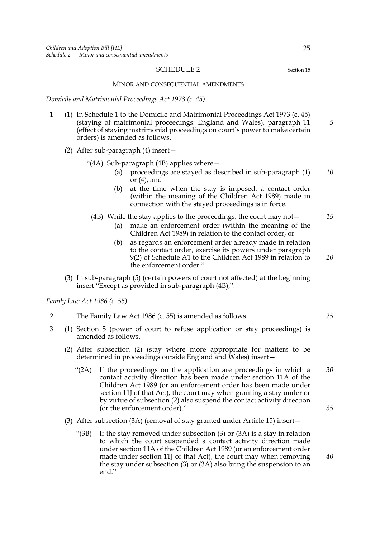#### SCHEDULE 2 Section 15

MINOR AND CONSEQUENTIAL AMENDMENTS

*Domicile and Matrimonial Proceedings Act 1973 (c. 45)*

- 1 (1) In Schedule 1 to the Domicile and Matrimonial Proceedings Act 1973 (c. 45) (staying of matrimonial proceedings: England and Wales), paragraph 11 (effect of staying matrimonial proceedings on court's power to make certain orders) is amended as follows.
	- (2) After sub-paragraph (4) insert—
		- "(4A) Sub-paragraph (4B) applies where—
			- (a) proceedings are stayed as described in sub-paragraph (1) or (4), and *10*
			- (b) at the time when the stay is imposed, a contact order (within the meaning of the Children Act 1989) made in connection with the stayed proceedings is in force.
			- (4B) While the stay applies to the proceedings, the court may not— *15*
				- (a) make an enforcement order (within the meaning of the Children Act 1989) in relation to the contact order, or
				- (b) as regards an enforcement order already made in relation to the contact order, exercise its powers under paragraph 9(2) of Schedule A1 to the Children Act 1989 in relation to the enforcement order." *20*
	- (3) In sub-paragraph (5) (certain powers of court not affected) at the beginning insert "Except as provided in sub-paragraph (4B),".

*Family Law Act 1986 (c. 55)*

- 2 The Family Law Act 1986 (c. 55) is amended as follows.
- 3 (1) Section 5 (power of court to refuse application or stay proceedings) is amended as follows.
	- (2) After subsection (2) (stay where more appropriate for matters to be determined in proceedings outside England and Wales) insert—
		- "(2A) If the proceedings on the application are proceedings in which a contact activity direction has been made under section 11A of the Children Act 1989 (or an enforcement order has been made under section 11J of that Act), the court may when granting a stay under or by virtue of subsection (2) also suspend the contact activity direction (or the enforcement order)." *30*
	- (3) After subsection (3A) (removal of stay granted under Article 15) insert—
		- "(3B) If the stay removed under subsection (3) or (3A) is a stay in relation to which the court suspended a contact activity direction made under section 11A of the Children Act 1989 (or an enforcement order made under section 11J of that Act), the court may when removing the stay under subsection (3) or (3A) also bring the suspension to an end."

*5*

*25*

*35*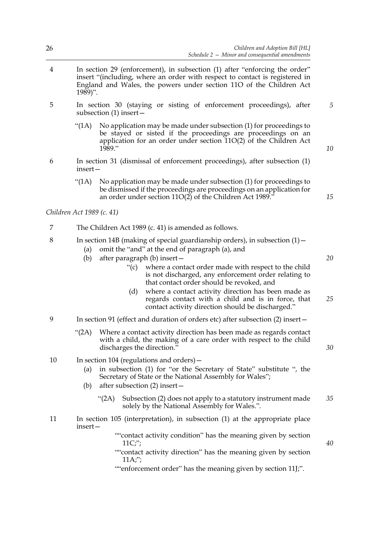| 26 | Children and Adoption Bill [HL]<br>Schedule $2 -$ Minor and consequential amendments                                                                                                                                                                                                                                                                                                                                                                                                                                           |          |  |
|----|--------------------------------------------------------------------------------------------------------------------------------------------------------------------------------------------------------------------------------------------------------------------------------------------------------------------------------------------------------------------------------------------------------------------------------------------------------------------------------------------------------------------------------|----------|--|
| 4  | In section 29 (enforcement), in subsection (1) after "enforcing the order"<br>insert "(including, where an order with respect to contact is registered in<br>England and Wales, the powers under section 11O of the Children Act<br>$1989$ ".                                                                                                                                                                                                                                                                                  |          |  |
| 5  | In section 30 (staying or sisting of enforcement proceedings), after<br>subsection $(1)$ insert –                                                                                                                                                                                                                                                                                                                                                                                                                              | 5        |  |
|    | " $(1A)$<br>No application may be made under subsection (1) for proceedings to<br>be stayed or sisted if the proceedings are proceedings on an<br>application for an order under section $11O(2)$ of the Children Act<br>1989."                                                                                                                                                                                                                                                                                                | 10       |  |
| 6  | In section 31 (dismissal of enforcement proceedings), after subsection (1)<br>insert-                                                                                                                                                                                                                                                                                                                                                                                                                                          |          |  |
|    | " $(1A)$<br>No application may be made under subsection (1) for proceedings to<br>be dismissed if the proceedings are proceedings on an application for<br>an order under section 11O(2) of the Children Act 1989."                                                                                                                                                                                                                                                                                                            | 15       |  |
|    | Children Act 1989 (c. 41)                                                                                                                                                                                                                                                                                                                                                                                                                                                                                                      |          |  |
| 7  | The Children Act 1989 (c. 41) is amended as follows.                                                                                                                                                                                                                                                                                                                                                                                                                                                                           |          |  |
| 8  | In section 14B (making of special guardianship orders), in subsection $(1)$ -<br>omit the "and" at the end of paragraph (a), and<br>(a)<br>(b)<br>after paragraph (b) insert-<br>where a contact order made with respect to the child<br>" $(c)$<br>is not discharged, any enforcement order relating to<br>that contact order should be revoked, and<br>where a contact activity direction has been made as<br>(d)<br>regards contact with a child and is in force, that<br>contact activity direction should be discharged." | 20<br>25 |  |
| 9  | In section 91 (effect and duration of orders etc) after subsection (2) insert –                                                                                                                                                                                                                                                                                                                                                                                                                                                |          |  |
|    | " $(2A)$<br>Where a contact activity direction has been made as regards contact<br>with a child, the making of a care order with respect to the child<br>discharges the direction."                                                                                                                                                                                                                                                                                                                                            | 30       |  |
| 10 | In section 104 (regulations and orders) –<br>in subsection (1) for "or the Secretary of State" substitute ", the<br>(a)<br>Secretary of State or the National Assembly for Wales";<br>after subsection (2) insert-<br>(b)                                                                                                                                                                                                                                                                                                      |          |  |
|    | " $(2A)$<br>Subsection (2) does not apply to a statutory instrument made<br>solely by the National Assembly for Wales.".                                                                                                                                                                                                                                                                                                                                                                                                       | 35       |  |
| 11 | In section 105 (interpretation), in subsection (1) at the appropriate place<br>insert-                                                                                                                                                                                                                                                                                                                                                                                                                                         |          |  |
|    | ""contact activity condition" has the meaning given by section<br>11C;<br>""contact activity direction" has the meaning given by section<br>11A;<br>""enforcement order" has the meaning given by section 11J;".                                                                                                                                                                                                                                                                                                               | 40       |  |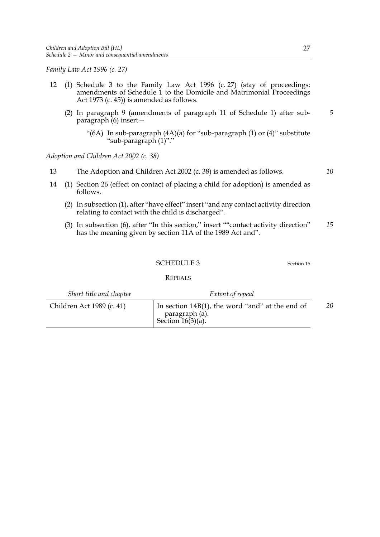*Family Law Act 1996 (c. 27)*

- 12 (1) Schedule 3 to the Family Law Act 1996 (c. 27) (stay of proceedings: amendments of Schedule 1 to the Domicile and Matrimonial Proceedings Act 1973 (c. 45)) is amended as follows.
	- (2) In paragraph 9 (amendments of paragraph 11 of Schedule 1) after subparagraph (6) insert—
		- "(6A) In sub-paragraph (4A)(a) for "sub-paragraph (1) or (4)" substitute "sub-paragraph (1)"."

*Adoption and Children Act 2002 (c. 38)*

- 13 The Adoption and Children Act 2002 (c. 38) is amended as follows.
- 14 (1) Section 26 (effect on contact of placing a child for adoption) is amended as follows.
	- (2) In subsection (1), after "have effect" insert "and any contact activity direction relating to contact with the child is discharged".
	- (3) In subsection (6), after "In this section," insert ""contact activity direction" has the meaning given by section 11A of the 1989 Act and". *15*

#### SCHEDULE 3 Section 15

**REPEALS** 

| Short title and chapter   | Extent of repeal                                                                          |    |
|---------------------------|-------------------------------------------------------------------------------------------|----|
| Children Act 1989 (c. 41) | In section $14B(1)$ , the word "and" at the end of<br>paragraph (a).<br>Section 16(3)(a). | 20 |

*10*